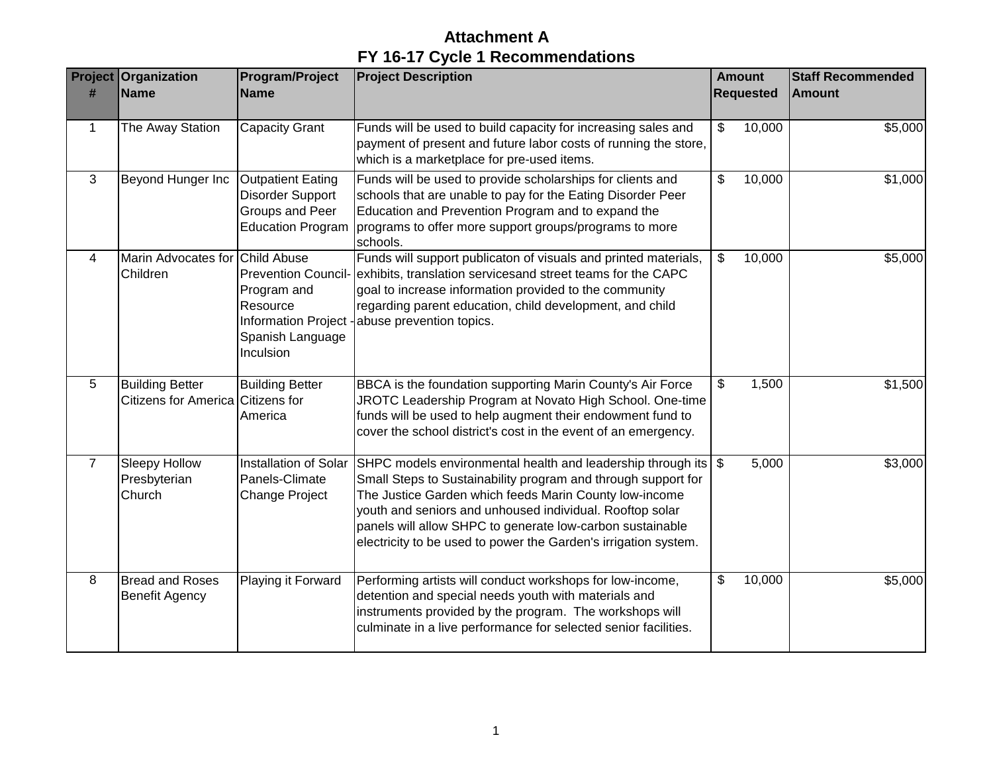|                | <b>Project Organization</b>                                 | <b>Program/Project</b>                                                                      | <b>Project Description</b>                                                                                                                                                                                                                                                                                                                                                              | <b>Amount</b>  |                  | <b>Staff Recommended</b> |
|----------------|-------------------------------------------------------------|---------------------------------------------------------------------------------------------|-----------------------------------------------------------------------------------------------------------------------------------------------------------------------------------------------------------------------------------------------------------------------------------------------------------------------------------------------------------------------------------------|----------------|------------------|--------------------------|
| #              | <b>Name</b>                                                 | <b>Name</b>                                                                                 |                                                                                                                                                                                                                                                                                                                                                                                         |                | <b>Requested</b> | <b>Amount</b>            |
| $\mathbf{1}$   | The Away Station                                            | <b>Capacity Grant</b>                                                                       | Funds will be used to build capacity for increasing sales and<br>payment of present and future labor costs of running the store,<br>which is a marketplace for pre-used items.                                                                                                                                                                                                          | $\frac{1}{2}$  | 10,000           | \$5,000                  |
| 3              | Beyond Hunger Inc                                           | <b>Outpatient Eating</b><br>Disorder Support<br>Groups and Peer<br><b>Education Program</b> | Funds will be used to provide scholarships for clients and<br>schools that are unable to pay for the Eating Disorder Peer<br>Education and Prevention Program and to expand the<br>programs to offer more support groups/programs to more<br>schools.                                                                                                                                   | \$             | 10,000           | \$1,000                  |
| 4              | Marin Advocates for Child Abuse<br>Children                 | Program and<br>Resource<br>Information Project -<br>Spanish Language<br>Inculsion           | Funds will support publicaton of visuals and printed materials,<br>Prevention Council- exhibits, translation servicesand street teams for the CAPC<br>goal to increase information provided to the community<br>regarding parent education, child development, and child<br>abuse prevention topics.                                                                                    | \$             | 10,000           | \$5,000                  |
| 5              | <b>Building Better</b><br>Citizens for America Citizens for | <b>Building Better</b><br>America                                                           | BBCA is the foundation supporting Marin County's Air Force<br>JROTC Leadership Program at Novato High School. One-time<br>funds will be used to help augment their endowment fund to<br>cover the school district's cost in the event of an emergency.                                                                                                                                  | \$             | 1,500            | \$1,500                  |
| $\overline{7}$ | <b>Sleepy Hollow</b><br>Presbyterian<br>Church              | Installation of Solar<br>Panels-Climate<br><b>Change Project</b>                            | SHPC models environmental health and leadership through its   \$<br>Small Steps to Sustainability program and through support for<br>The Justice Garden which feeds Marin County low-income<br>youth and seniors and unhoused individual. Rooftop solar<br>panels will allow SHPC to generate low-carbon sustainable<br>electricity to be used to power the Garden's irrigation system. |                | 5,000            | \$3,000                  |
| 8              | <b>Bread and Roses</b><br><b>Benefit Agency</b>             | <b>Playing it Forward</b>                                                                   | Performing artists will conduct workshops for low-income,<br>detention and special needs youth with materials and<br>instruments provided by the program. The workshops will<br>culminate in a live performance for selected senior facilities.                                                                                                                                         | $\mathfrak{S}$ | 10,000           | \$5,000                  |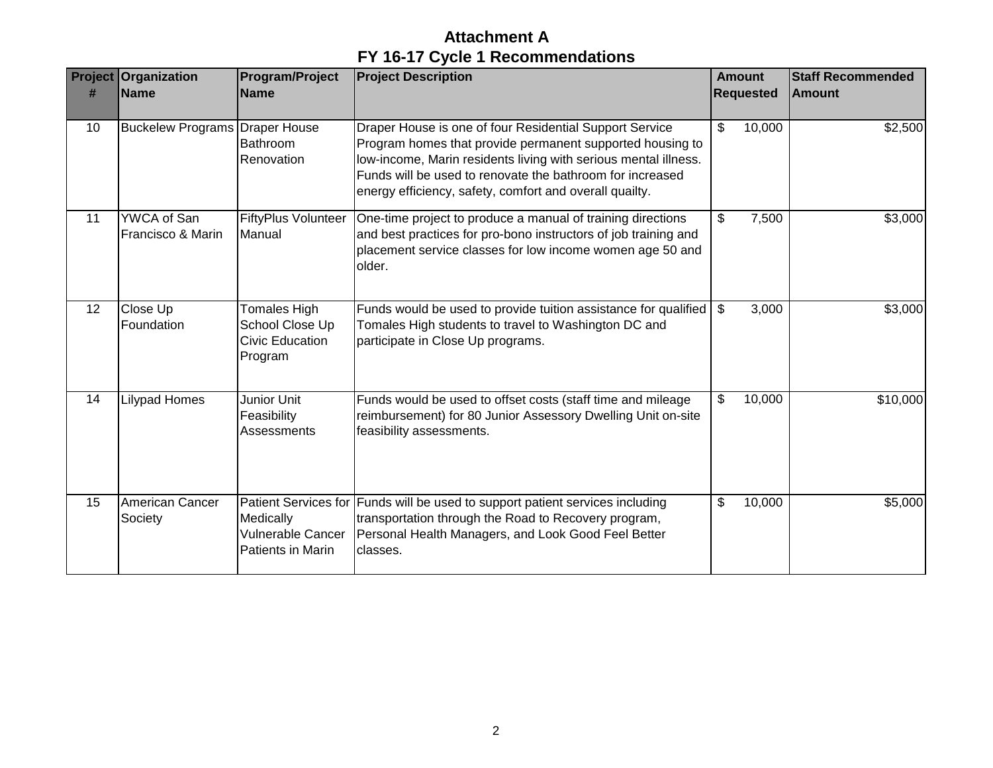| #  | <b>Project Organization</b><br><b>Name</b> | <b>Program/Project</b><br><b>Name</b>                                       | <b>Project Description</b>                                                                                                                                                                                                                                                                                      | <b>Amount</b><br><b>Requested</b> |        | <b>Staff Recommended</b><br><b>Amount</b> |
|----|--------------------------------------------|-----------------------------------------------------------------------------|-----------------------------------------------------------------------------------------------------------------------------------------------------------------------------------------------------------------------------------------------------------------------------------------------------------------|-----------------------------------|--------|-------------------------------------------|
| 10 | <b>Buckelew Programs Draper House</b>      | Bathroom<br>Renovation                                                      | Draper House is one of four Residential Support Service<br>Program homes that provide permanent supported housing to<br>low-income, Marin residents living with serious mental illness.<br>Funds will be used to renovate the bathroom for increased<br>energy efficiency, safety, comfort and overall quailty. | \$                                | 10,000 | \$2,500                                   |
| 11 | YWCA of San<br>Francisco & Marin           | <b>FiftyPlus Volunteer</b><br>Manual                                        | One-time project to produce a manual of training directions<br>and best practices for pro-bono instructors of job training and<br>placement service classes for low income women age 50 and<br>older.                                                                                                           | \$                                | 7,500  | \$3,000                                   |
| 12 | Close Up<br>Foundation                     | <b>Tomales High</b><br>School Close Up<br><b>Civic Education</b><br>Program | Funds would be used to provide tuition assistance for qualified   \$<br>Tomales High students to travel to Washington DC and<br>participate in Close Up programs.                                                                                                                                               |                                   | 3,000  | \$3,000                                   |
| 14 | <b>Lilypad Homes</b>                       | Junior Unit<br>Feasibility<br>Assessments                                   | Funds would be used to offset costs (staff time and mileage<br>reimbursement) for 80 Junior Assessory Dwelling Unit on-site<br>feasibility assessments.                                                                                                                                                         | \$                                | 10,000 | \$10,000                                  |
| 15 | American Cancer<br>Society                 | Medically<br><b>Vulnerable Cancer</b><br>Patients in Marin                  | Patient Services for Funds will be used to support patient services including<br>transportation through the Road to Recovery program,<br>Personal Health Managers, and Look Good Feel Better<br>classes.                                                                                                        | \$                                | 10,000 | \$5,000                                   |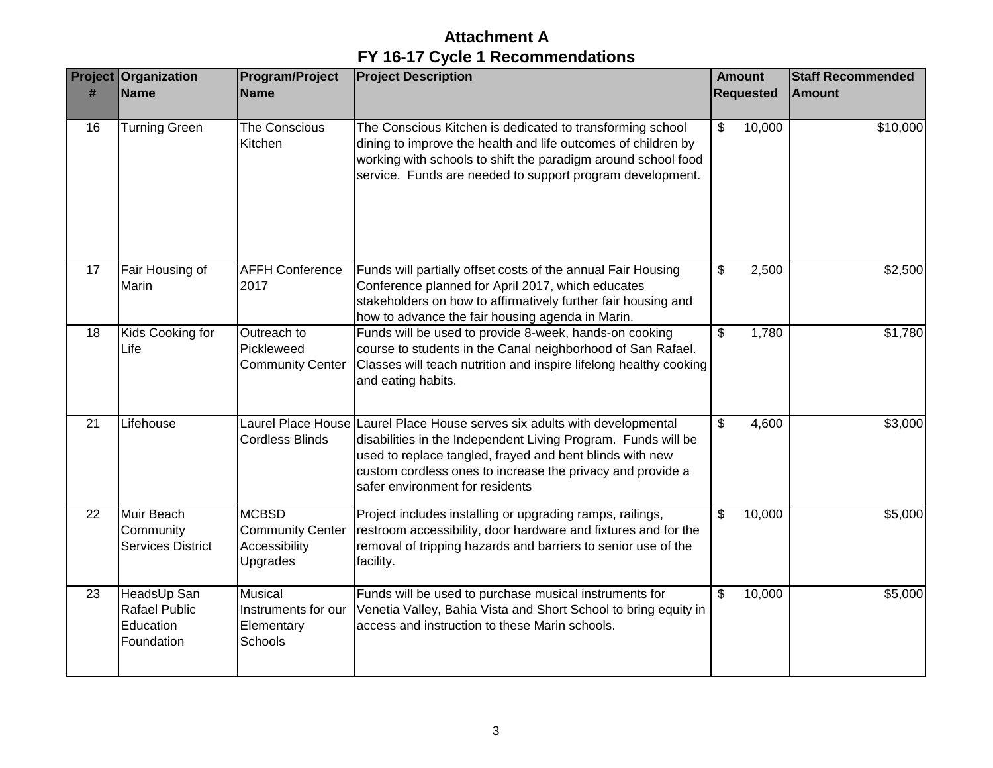| Project         | Organization                                                   | Program/Project                                                      | <b>Project Description</b>                                                                                                                                                                                                                                                                               | <b>Amount</b><br><b>Requested</b> |        | <b>Staff Recommended</b> |
|-----------------|----------------------------------------------------------------|----------------------------------------------------------------------|----------------------------------------------------------------------------------------------------------------------------------------------------------------------------------------------------------------------------------------------------------------------------------------------------------|-----------------------------------|--------|--------------------------|
| #               | <b>Name</b>                                                    | <b>Name</b>                                                          |                                                                                                                                                                                                                                                                                                          |                                   |        | <b>Amount</b>            |
| 16              | <b>Turning Green</b>                                           | <b>The Conscious</b><br>Kitchen                                      | The Conscious Kitchen is dedicated to transforming school<br>dining to improve the health and life outcomes of children by<br>working with schools to shift the paradigm around school food<br>service. Funds are needed to support program development.                                                 | $\mathfrak{S}$                    | 10,000 | \$10,000                 |
| 17              | Fair Housing of<br>Marin                                       | <b>AFFH Conference</b><br>2017                                       | Funds will partially offset costs of the annual Fair Housing<br>Conference planned for April 2017, which educates<br>stakeholders on how to affirmatively further fair housing and<br>how to advance the fair housing agenda in Marin.                                                                   | \$                                | 2,500  | \$2,500                  |
| 18              | Kids Cooking for<br>Life                                       | Outreach to<br>Pickleweed<br><b>Community Center</b>                 | Funds will be used to provide 8-week, hands-on cooking<br>course to students in the Canal neighborhood of San Rafael.<br>Classes will teach nutrition and inspire lifelong healthy cooking<br>and eating habits.                                                                                         | \$                                | 1,780  | \$1,780                  |
| 21              | Lifehouse                                                      | <b>Cordless Blinds</b>                                               | Laurel Place House Laurel Place House serves six adults with developmental<br>disabilities in the Independent Living Program. Funds will be<br>used to replace tangled, frayed and bent blinds with new<br>custom cordless ones to increase the privacy and provide a<br>safer environment for residents | \$                                | 4,600  | \$3,000                  |
| 22              | Muir Beach<br>Community<br><b>Services District</b>            | <b>MCBSD</b><br><b>Community Center</b><br>Accessibility<br>Upgrades | Project includes installing or upgrading ramps, railings,<br>restroom accessibility, door hardware and fixtures and for the<br>removal of tripping hazards and barriers to senior use of the<br>facility.                                                                                                | $\mathfrak{S}$                    | 10,000 | \$5,000                  |
| $\overline{23}$ | HeadsUp San<br><b>Rafael Public</b><br>Education<br>Foundation | <b>Musical</b><br>Instruments for our<br>Elementary<br>Schools       | Funds will be used to purchase musical instruments for<br>Venetia Valley, Bahia Vista and Short School to bring equity in<br>access and instruction to these Marin schools.                                                                                                                              | \$                                | 10,000 | \$5,000                  |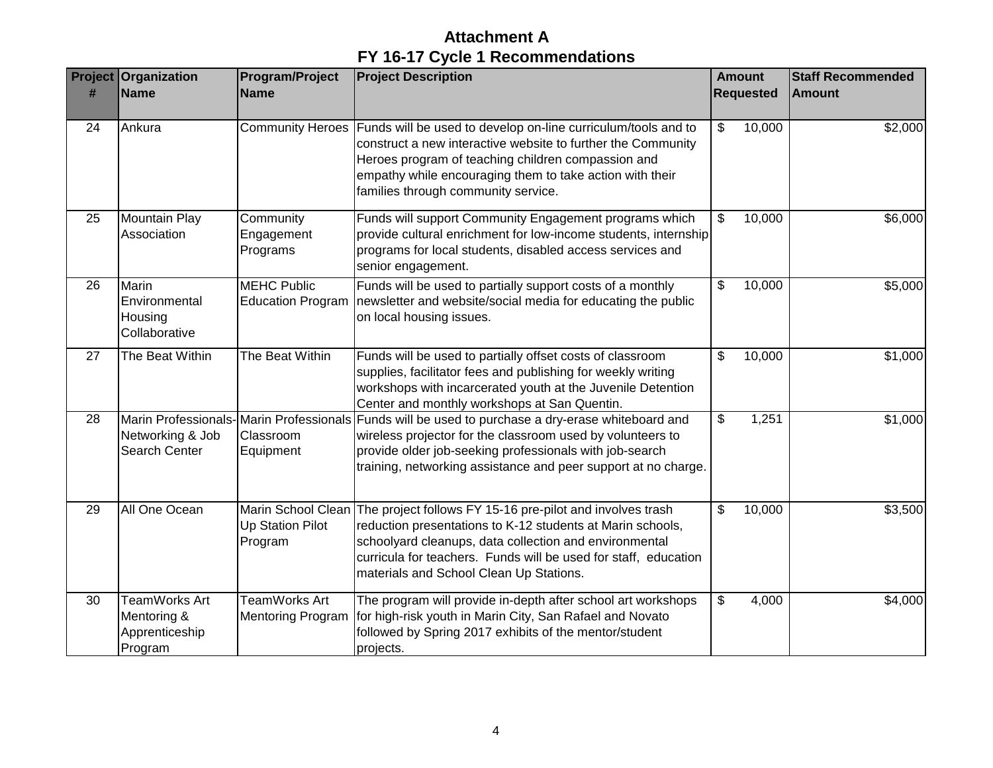| <b>Project</b><br># | Organization<br><b>Name</b>                               | <b>Program/Project</b><br><b>Name</b>                    | <b>Project Description</b>                                                                                                                                                                                                                                                                      |                           | <b>Amount</b><br><b>Requested</b> | <b>Staff Recommended</b><br><b>Amount</b> |
|---------------------|-----------------------------------------------------------|----------------------------------------------------------|-------------------------------------------------------------------------------------------------------------------------------------------------------------------------------------------------------------------------------------------------------------------------------------------------|---------------------------|-----------------------------------|-------------------------------------------|
| 24                  | Ankura                                                    | Community Heroes                                         | Funds will be used to develop on-line curriculum/tools and to<br>construct a new interactive website to further the Community<br>Heroes program of teaching children compassion and<br>empathy while encouraging them to take action with their<br>families through community service.          | $\$\$                     | 10,000                            | \$2,000                                   |
| 25                  | <b>Mountain Play</b><br>Association                       | Community<br>Engagement<br>Programs                      | Funds will support Community Engagement programs which<br>provide cultural enrichment for low-income students, internship<br>programs for local students, disabled access services and<br>senior engagement.                                                                                    | \$                        | 10,000                            | \$6,000                                   |
| 26                  | Marin<br>Environmental<br>Housing<br>Collaborative        | <b>MEHC Public</b><br><b>Education Program</b>           | Funds will be used to partially support costs of a monthly<br>newsletter and website/social media for educating the public<br>on local housing issues.                                                                                                                                          | \$                        | 10,000                            | \$5,000                                   |
| 27                  | The Beat Within                                           | The Beat Within                                          | Funds will be used to partially offset costs of classroom<br>supplies, facilitator fees and publishing for weekly writing<br>workshops with incarcerated youth at the Juvenile Detention<br>Center and monthly workshops at San Quentin.                                                        | \$                        | 10,000                            | \$1,000                                   |
| 28                  | Networking & Job<br>Search Center                         | Classroom<br>Equipment                                   | Marin Professionals-Marin Professionals Funds will be used to purchase a dry-erase whiteboard and<br>wireless projector for the classroom used by volunteers to<br>provide older job-seeking professionals with job-search<br>training, networking assistance and peer support at no charge.    | $\boldsymbol{\mathsf{S}}$ | 1,251                             | \$1,000                                   |
| 29                  | All One Ocean                                             | Marin School Clean<br><b>Up Station Pilot</b><br>Program | The project follows FY 15-16 pre-pilot and involves trash<br>reduction presentations to K-12 students at Marin schools,<br>schoolyard cleanups, data collection and environmental<br>curricula for teachers. Funds will be used for staff, education<br>materials and School Clean Up Stations. | \$                        | 10,000                            | \$3,500                                   |
| 30                  | TeamWorks Art<br>Mentoring &<br>Apprenticeship<br>Program | TeamWorks Art<br><b>Mentoring Program</b>                | The program will provide in-depth after school art workshops<br>for high-risk youth in Marin City, San Rafael and Novato<br>followed by Spring 2017 exhibits of the mentor/student<br>projects.                                                                                                 | \$                        | 4,000                             | \$4,000                                   |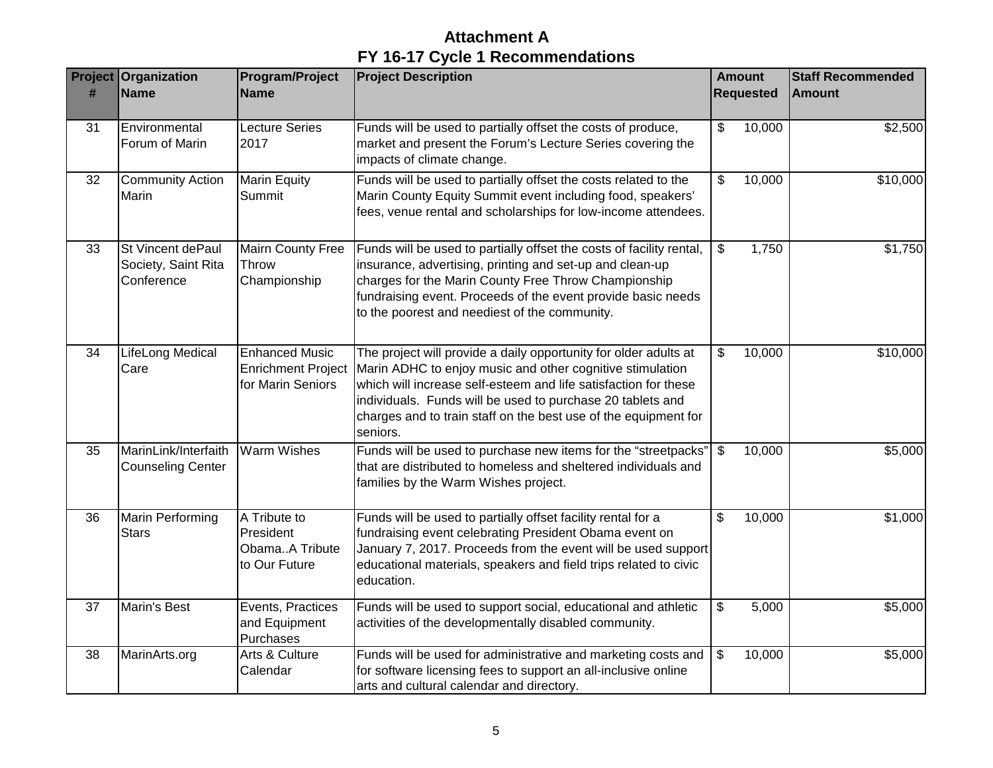| <b>Project</b><br># | Organization<br><b>Name</b>                            | <b>Program/Project</b><br><b>Name</b>                                   | <b>Project Description</b>                                                                                                                                                                                                                                                                                                                    | <b>Amount</b><br><b>Requested</b> |        | <b>Staff Recommended</b><br><b>Amount</b> |
|---------------------|--------------------------------------------------------|-------------------------------------------------------------------------|-----------------------------------------------------------------------------------------------------------------------------------------------------------------------------------------------------------------------------------------------------------------------------------------------------------------------------------------------|-----------------------------------|--------|-------------------------------------------|
|                     |                                                        |                                                                         |                                                                                                                                                                                                                                                                                                                                               |                                   |        |                                           |
| 31                  | Environmental<br>Forum of Marin                        | Lecture Series<br>2017                                                  | Funds will be used to partially offset the costs of produce,<br>market and present the Forum's Lecture Series covering the<br>impacts of climate change.                                                                                                                                                                                      | $\boldsymbol{\mathsf{S}}$         | 10,000 | \$2,500                                   |
| 32                  | <b>Community Action</b><br>Marin                       | <b>Marin Equity</b><br>Summit                                           | Funds will be used to partially offset the costs related to the<br>Marin County Equity Summit event including food, speakers'<br>fees, venue rental and scholarships for low-income attendees.                                                                                                                                                | \$                                | 10,000 | \$10,000                                  |
| 33                  | St Vincent dePaul<br>Society, Saint Rita<br>Conference | <b>Mairn County Free</b><br>Throw<br>Championship                       | Funds will be used to partially offset the costs of facility rental,<br>insurance, advertising, printing and set-up and clean-up<br>charges for the Marin County Free Throw Championship<br>fundraising event. Proceeds of the event provide basic needs<br>to the poorest and neediest of the community.                                     | $\mathfrak{S}$                    | 1,750  | \$1,750                                   |
| 34                  | LifeLong Medical<br>Care                               | <b>Enhanced Music</b><br><b>Enrichment Project</b><br>for Marin Seniors | The project will provide a daily opportunity for older adults at<br>Marin ADHC to enjoy music and other cognitive stimulation<br>which will increase self-esteem and life satisfaction for these<br>individuals. Funds will be used to purchase 20 tablets and<br>charges and to train staff on the best use of the equipment for<br>seniors. | \$                                | 10,000 | \$10,000                                  |
| 35                  | MarinLink/Interfaith<br><b>Counseling Center</b>       | <b>Warm Wishes</b>                                                      | Funds will be used to purchase new items for the "streetpacks"<br>that are distributed to homeless and sheltered individuals and<br>families by the Warm Wishes project.                                                                                                                                                                      | $\sqrt[6]{\frac{1}{2}}$           | 10,000 | \$5,000                                   |
| 36                  | <b>Marin Performing</b><br><b>Stars</b>                | A Tribute to<br>President<br>ObamaA Tribute<br>to Our Future            | Funds will be used to partially offset facility rental for a<br>fundraising event celebrating President Obama event on<br>January 7, 2017. Proceeds from the event will be used support<br>educational materials, speakers and field trips related to civic<br>education.                                                                     | \$                                | 10,000 | \$1,000                                   |
| 37                  | Marin's Best                                           | Events, Practices<br>and Equipment<br>Purchases                         | Funds will be used to support social, educational and athletic<br>activities of the developmentally disabled community.                                                                                                                                                                                                                       | $\boldsymbol{\mathsf{\$}}$        | 5,000  | \$5,000                                   |
| 38                  | MarinArts.org                                          | Arts & Culture<br>Calendar                                              | Funds will be used for administrative and marketing costs and<br>for software licensing fees to support an all-inclusive online<br>arts and cultural calendar and directory.                                                                                                                                                                  | $\vert$ \$                        | 10,000 | \$5,000                                   |